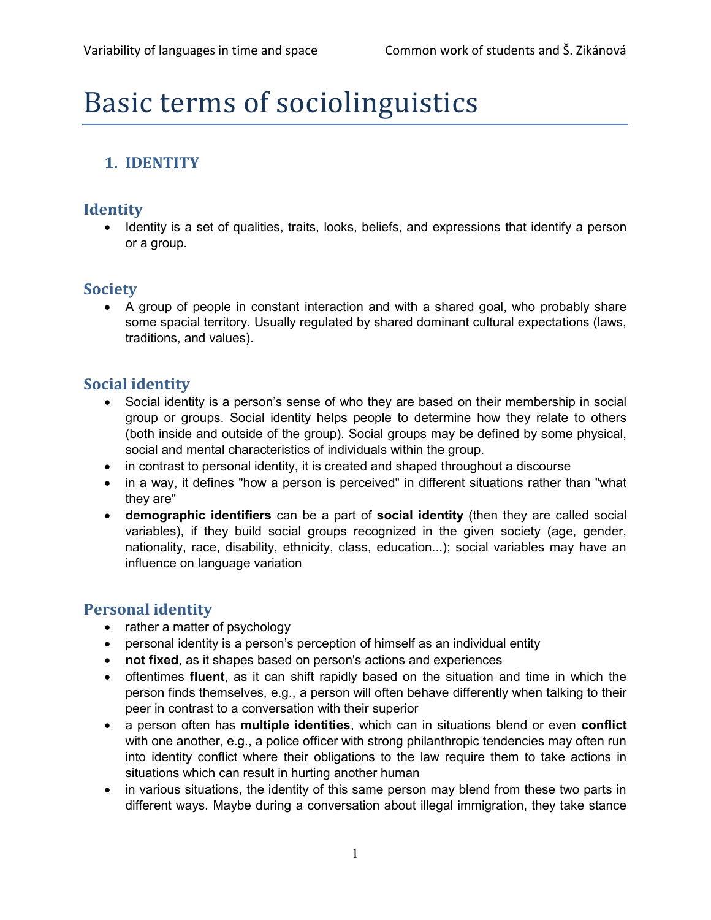# Basic terms of sociolinguistics

# 1. IDENTITY

## **Identity**

• Identity is a set of qualities, traits, looks, beliefs, and expressions that identify a person or a group.

## **Society**

 A group of people in constant interaction and with a shared goal, who probably share some spacial territory. Usually regulated by shared dominant cultural expectations (laws, traditions, and values).

# Social identity

- Social identity is a person's sense of who they are based on their membership in social group or groups. Social identity helps people to determine how they relate to others (both inside and outside of the group). Social groups may be defined by some physical, social and mental characteristics of individuals within the group.
- in contrast to personal identity, it is created and shaped throughout a discourse
- in a way, it defines "how a person is perceived" in different situations rather than "what they are"
- demographic identifiers can be a part of social identity (then they are called social variables), if they build social groups recognized in the given society (age, gender, nationality, race, disability, ethnicity, class, education...); social variables may have an influence on language variation

# Personal identity

- rather a matter of psychology
- personal identity is a person's perception of himself as an individual entity
- not fixed, as it shapes based on person's actions and experiences
- oftentimes fluent, as it can shift rapidly based on the situation and time in which the person finds themselves, e.g., a person will often behave differently when talking to their peer in contrast to a conversation with their superior
- a person often has multiple identities, which can in situations blend or even conflict with one another, e.g., a police officer with strong philanthropic tendencies may often run into identity conflict where their obligations to the law require them to take actions in situations which can result in hurting another human
- in various situations, the identity of this same person may blend from these two parts in different ways. Maybe during a conversation about illegal immigration, they take stance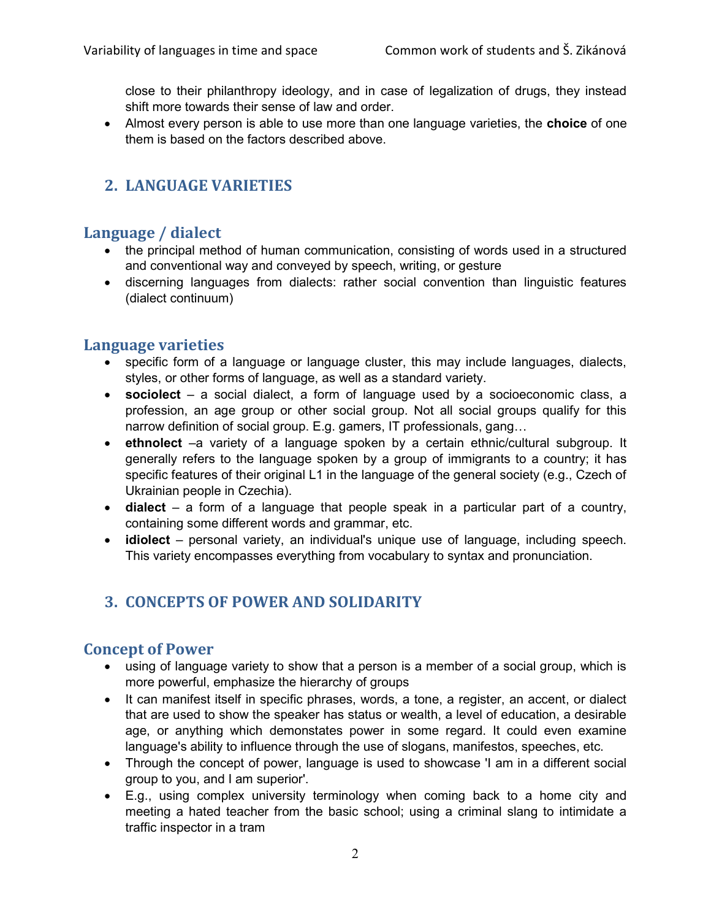close to their philanthropy ideology, and in case of legalization of drugs, they instead shift more towards their sense of law and order.

• Almost every person is able to use more than one language varieties, the **choice** of one them is based on the factors described above.

# 2. LANGUAGE VARIETIES

# Language / dialect

- the principal method of human communication, consisting of words used in a structured and conventional way and conveyed by speech, writing, or gesture
- discerning languages from dialects: rather social convention than linguistic features (dialect continuum)

#### Language varieties

- specific form of a language or language cluster, this may include languages, dialects, styles, or other forms of language, as well as a standard variety.
- sociolect a social dialect, a form of language used by a socioeconomic class, a profession, an age group or other social group. Not all social groups qualify for this narrow definition of social group. E.g. gamers, IT professionals, gang…
- ethnolect –a variety of a language spoken by a certain ethnic/cultural subgroup. It generally refers to the language spoken by a group of immigrants to a country; it has specific features of their original L1 in the language of the general society (e.g., Czech of Ukrainian people in Czechia).
- $\bullet$  dialect a form of a language that people speak in a particular part of a country, containing some different words and grammar, etc.
- idiolect personal variety, an individual's unique use of language, including speech. This variety encompasses everything from vocabulary to syntax and pronunciation.

# 3. CONCEPTS OF POWER AND SOLIDARITY

#### Concept of Power

- using of language variety to show that a person is a member of a social group, which is more powerful, emphasize the hierarchy of groups
- It can manifest itself in specific phrases, words, a tone, a register, an accent, or dialect that are used to show the speaker has status or wealth, a level of education, a desirable age, or anything which demonstates power in some regard. It could even examine language's ability to influence through the use of slogans, manifestos, speeches, etc.
- Through the concept of power, language is used to showcase 'I am in a different social group to you, and I am superior'.
- E.g., using complex university terminology when coming back to a home city and meeting a hated teacher from the basic school; using a criminal slang to intimidate a traffic inspector in a tram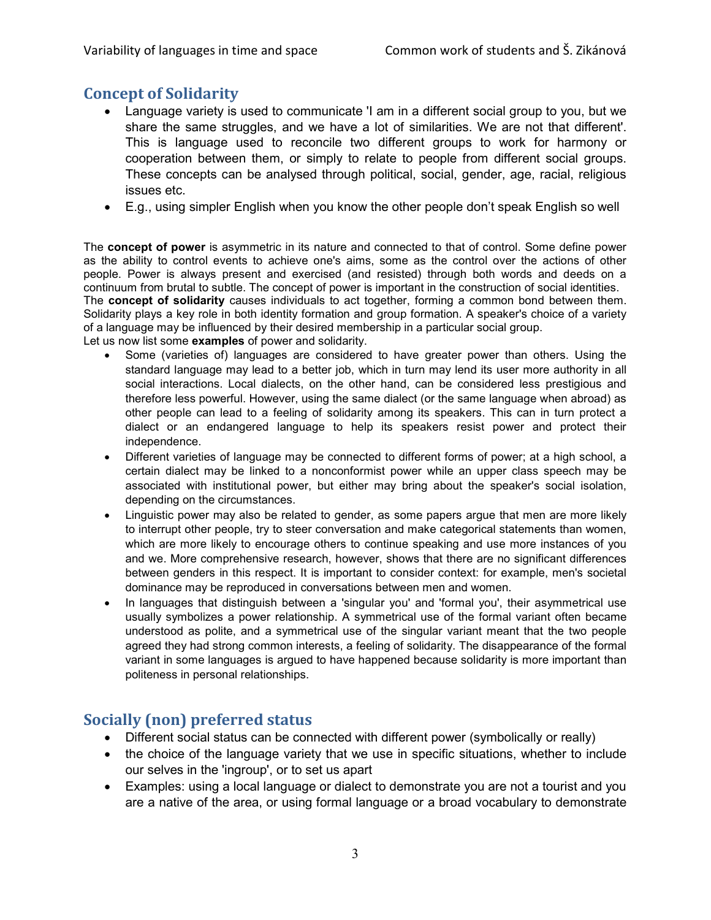## Concept of Solidarity

- Language variety is used to communicate 'I am in a different social group to you, but we share the same struggles, and we have a lot of similarities. We are not that different'. This is language used to reconcile two different groups to work for harmony or cooperation between them, or simply to relate to people from different social groups. These concepts can be analysed through political, social, gender, age, racial, religious issues etc.
- E.g., using simpler English when you know the other people don't speak English so well

The **concept of power** is asymmetric in its nature and connected to that of control. Some define power as the ability to control events to achieve one's aims, some as the control over the actions of other people. Power is always present and exercised (and resisted) through both words and deeds on a continuum from brutal to subtle. The concept of power is important in the construction of social identities. The concept of solidarity causes individuals to act together, forming a common bond between them. Solidarity plays a key role in both identity formation and group formation. A speaker's choice of a variety of a language may be influenced by their desired membership in a particular social group. Let us now list some **examples** of power and solidarity.

- Some (varieties of) languages are considered to have greater power than others. Using the standard language may lead to a better job, which in turn may lend its user more authority in all social interactions. Local dialects, on the other hand, can be considered less prestigious and therefore less powerful. However, using the same dialect (or the same language when abroad) as other people can lead to a feeling of solidarity among its speakers. This can in turn protect a dialect or an endangered language to help its speakers resist power and protect their independence.
- Different varieties of language may be connected to different forms of power; at a high school, a certain dialect may be linked to a nonconformist power while an upper class speech may be associated with institutional power, but either may bring about the speaker's social isolation, depending on the circumstances.
- Linguistic power may also be related to gender, as some papers argue that men are more likely to interrupt other people, try to steer conversation and make categorical statements than women, which are more likely to encourage others to continue speaking and use more instances of you and we. More comprehensive research, however, shows that there are no significant differences between genders in this respect. It is important to consider context: for example, men's societal dominance may be reproduced in conversations between men and women.
- In languages that distinguish between a 'singular you' and 'formal you', their asymmetrical use usually symbolizes a power relationship. A symmetrical use of the formal variant often became understood as polite, and a symmetrical use of the singular variant meant that the two people agreed they had strong common interests, a feeling of solidarity. The disappearance of the formal variant in some languages is argued to have happened because solidarity is more important than politeness in personal relationships.

# Socially (non) preferred status

- Different social status can be connected with different power (symbolically or really)
- the choice of the language variety that we use in specific situations, whether to include our selves in the 'ingroup', or to set us apart
- Examples: using a local language or dialect to demonstrate you are not a tourist and you are a native of the area, or using formal language or a broad vocabulary to demonstrate